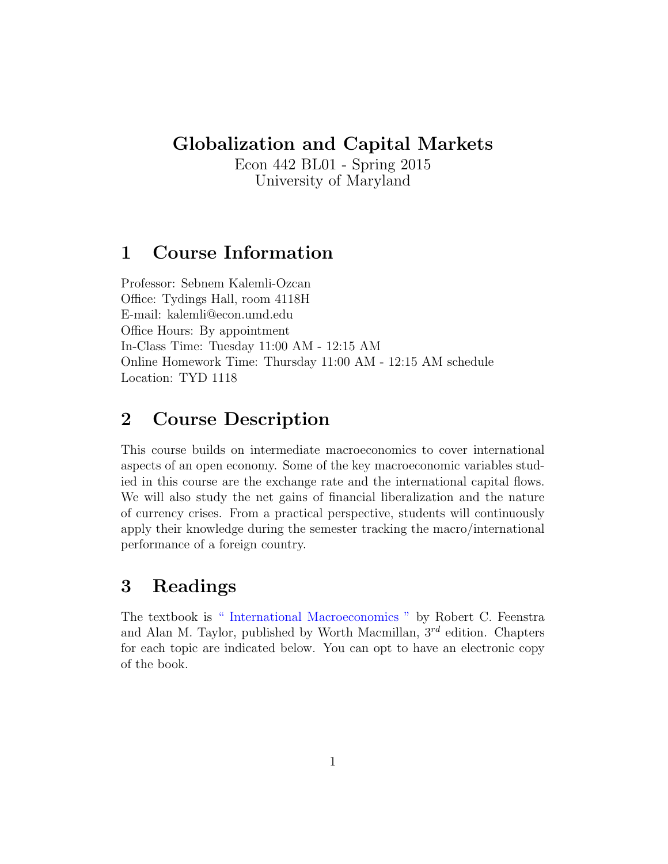#### Globalization and Capital Markets

Econ 442 BL01 - Spring 2015 University of Maryland

## 1 Course Information

Professor: Sebnem Kalemli-Ozcan Office: Tydings Hall, room 4118H E-mail: kalemli@econ.umd.edu Office Hours: By appointment In-Class Time: Tuesday 11:00 AM - 12:15 AM Online Homework Time: Thursday 11:00 AM - 12:15 AM schedule Location: TYD 1118

## 2 Course Description

This course builds on intermediate macroeconomics to cover international aspects of an open economy. Some of the key macroeconomic variables studied in this course are the exchange rate and the international capital flows. We will also study the net gains of financial liberalization and the nature of currency crises. From a practical perspective, students will continuously apply their knowledge during the semester tracking the macro/international performance of a foreign country.

# 3 Readings

The textbook is [" International Macroeconomics "](http://www.amazon.com/International-Macroeconomics-Robert-C-Feenstra/dp/1429278439/ref=sr_1_1?s=books&ie=UTF8&qid=1439838155&sr=1-1&keywords=international+macroeconomics) by Robert C. Feenstra and Alan M. Taylor, published by Worth Macmillan,  $3^{rd}$  edition. Chapters for each topic are indicated below. You can opt to have an electronic copy of the book.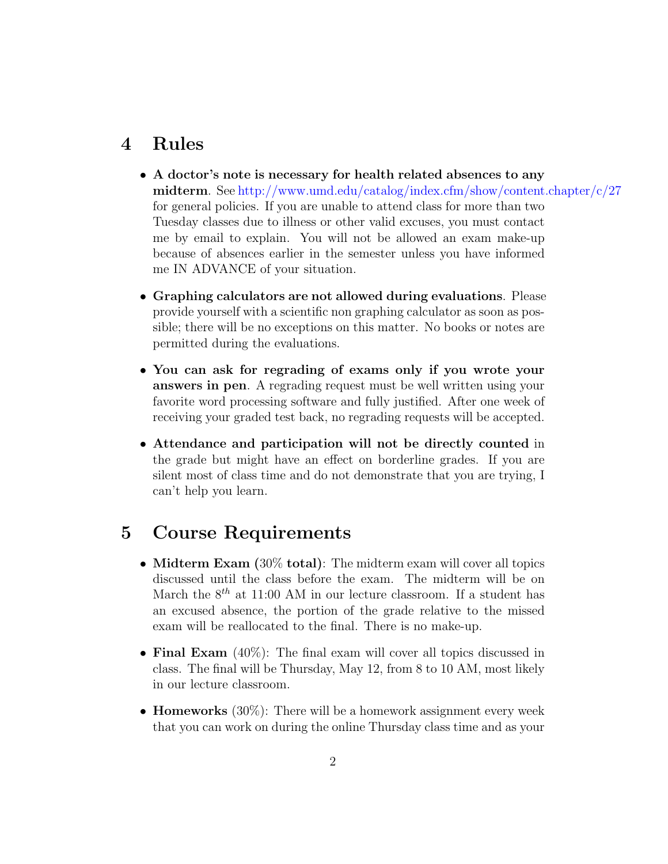#### 4 Rules

- A doctor's note is necessary for health related absences to any midterm. See <http://www.umd.edu/catalog/index.cfm/show/content.chapter/c/27> for general policies. If you are unable to attend class for more than two Tuesday classes due to illness or other valid excuses, you must contact me by email to explain. You will not be allowed an exam make-up because of absences earlier in the semester unless you have informed me IN ADVANCE of your situation.
- Graphing calculators are not allowed during evaluations. Please provide yourself with a scientific non graphing calculator as soon as possible; there will be no exceptions on this matter. No books or notes are permitted during the evaluations.
- You can ask for regrading of exams only if you wrote your answers in pen. A regrading request must be well written using your favorite word processing software and fully justified. After one week of receiving your graded test back, no regrading requests will be accepted.
- Attendance and participation will not be directly counted in the grade but might have an effect on borderline grades. If you are silent most of class time and do not demonstrate that you are trying, I can't help you learn.

### 5 Course Requirements

- Midterm Exam (30% total): The midterm exam will cover all topics discussed until the class before the exam. The midterm will be on March the  $8^{th}$  at 11:00 AM in our lecture classroom. If a student has an excused absence, the portion of the grade relative to the missed exam will be reallocated to the final. There is no make-up.
- Final Exam (40%): The final exam will cover all topics discussed in class. The final will be Thursday, May 12, from 8 to 10 AM, most likely in our lecture classroom.
- **Homeworks** (30%): There will be a homework assignment every week that you can work on during the online Thursday class time and as your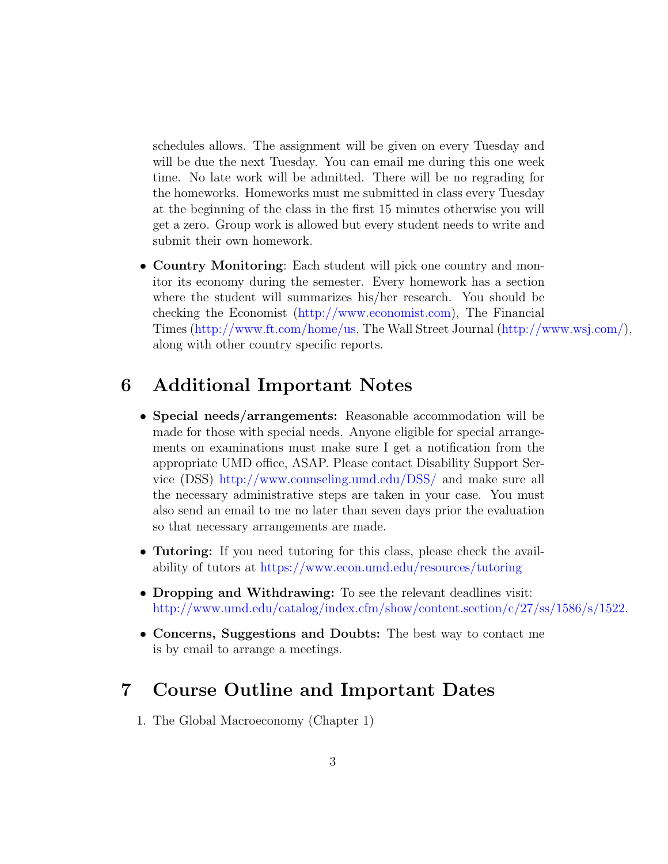schedules allows. The assignment will be given on every Tuesday and will be due the next Tuesday. You can email me during this one week time. No late work will be admitted. There will be no regrading for the homeworks. Homeworks must me submitted in class every Tuesday at the beginning of the class in the first 15 minutes otherwise you will get a zero. Group work is allowed but every student needs to write and submit their own homework.

• Country Monitoring: Each student will pick one country and monitor its economy during the semester. Every homework has a section where the student will summarizes his/her research. You should be checking the Economist [\(http://www.economist.com\)](http://www.economist.com), The Financial Times [\(http://www.ft.com/home/us,](http://www.ft.com/home/us) The Wall Street Journal [\(http://www.wsj.com/\)](http://www.wsj.com/), along with other country specific reports.

### 6 Additional Important Notes

- Special needs/arrangements: Reasonable accommodation will be made for those with special needs. Anyone eligible for special arrangements on examinations must make sure I get a notification from the appropriate UMD office, ASAP. Please contact Disability Support Service (DSS) <http://www.counseling.umd.edu/DSS/> and make sure all the necessary administrative steps are taken in your case. You must also send an email to me no later than seven days prior the evaluation so that necessary arrangements are made.
- Tutoring: If you need tutoring for this class, please check the availability of tutors at <https://www.econ.umd.edu/resources/tutoring>
- Dropping and Withdrawing: To see the relevant deadlines visit: [http://www.umd.edu/catalog/index.cfm/show/content.section/c/27/ss/1586/s/1522.](http://www.umd.edu/catalog/index.cfm/show/content.section/c/27/ss/1586/s/1522)
- Concerns, Suggestions and Doubts: The best way to contact me is by email to arrange a meetings.

### 7 Course Outline and Important Dates

1. The Global Macroeconomy (Chapter 1)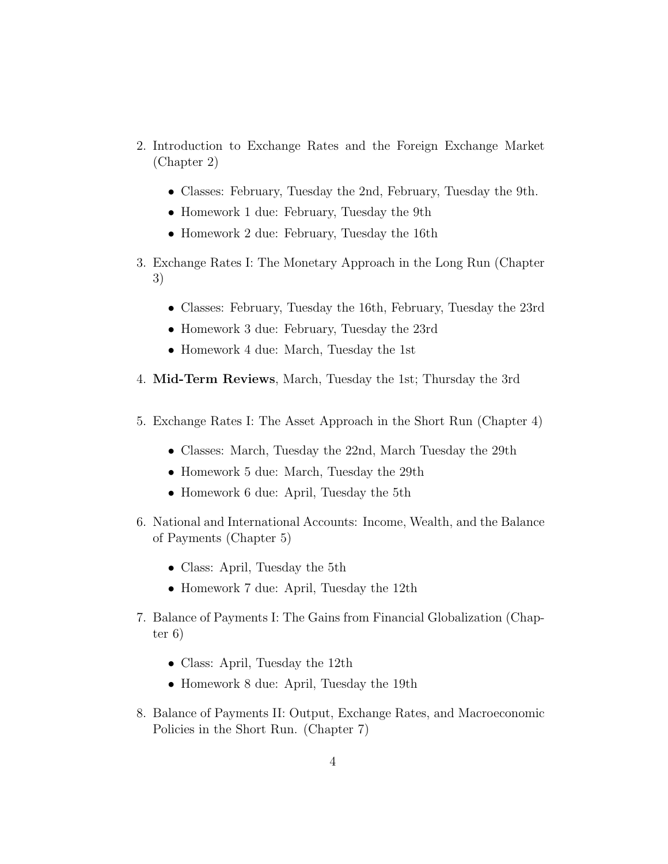- 2. Introduction to Exchange Rates and the Foreign Exchange Market (Chapter 2)
	- Classes: February, Tuesday the 2nd, February, Tuesday the 9th.
	- Homework 1 due: February, Tuesday the 9th
	- Homework 2 due: February, Tuesday the 16th
- 3. Exchange Rates I: The Monetary Approach in the Long Run (Chapter 3)
	- Classes: February, Tuesday the 16th, February, Tuesday the 23rd
	- Homework 3 due: February, Tuesday the 23rd
	- Homework 4 due: March, Tuesday the 1st
- 4. Mid-Term Reviews, March, Tuesday the 1st; Thursday the 3rd
- 5. Exchange Rates I: The Asset Approach in the Short Run (Chapter 4)
	- Classes: March, Tuesday the 22nd, March Tuesday the 29th
	- Homework 5 due: March, Tuesday the 29th
	- Homework 6 due: April, Tuesday the 5th
- 6. National and International Accounts: Income, Wealth, and the Balance of Payments (Chapter 5)
	- Class: April, Tuesday the 5th
	- Homework 7 due: April, Tuesday the 12th
- 7. Balance of Payments I: The Gains from Financial Globalization (Chapter 6)
	- Class: April, Tuesday the 12th
	- Homework 8 due: April, Tuesday the 19th
- 8. Balance of Payments II: Output, Exchange Rates, and Macroeconomic Policies in the Short Run. (Chapter 7)